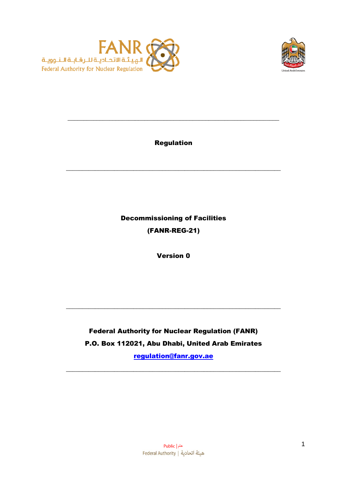



Regulation

\_\_\_\_\_\_\_\_\_\_\_\_\_\_\_\_\_\_\_\_\_\_\_\_\_\_\_\_\_\_\_\_\_\_\_\_\_\_\_\_\_\_\_\_\_\_\_\_\_\_\_\_\_\_\_\_\_\_\_\_\_\_\_\_\_\_\_

 $\_$  , and the set of the set of the set of the set of the set of the set of the set of the set of the set of the set of the set of the set of the set of the set of the set of the set of the set of the set of the set of th

Decommissioning of Facilities (FANR-REG-21)

Version 0

# Federal Authority for Nuclear Regulation (FANR) P.O. Box 112021, Abu Dhabi, United Arab Emirates

 $\_$  , and the set of the set of the set of the set of the set of the set of the set of the set of the set of the set of the set of the set of the set of the set of the set of the set of the set of the set of the set of th

[regulation@fanr.gov.ae](mailto:regulation@fanr.gov.ae)

 $\_$  , and the set of the set of the set of the set of the set of the set of the set of the set of the set of the set of the set of the set of the set of the set of the set of the set of the set of the set of the set of th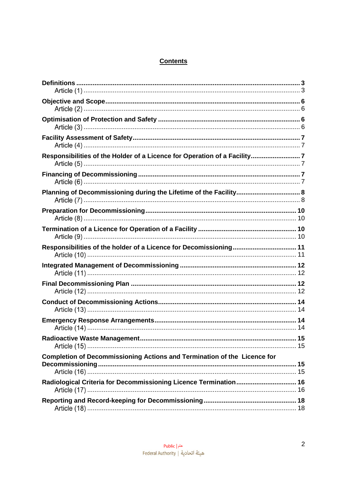# **Contents**

| Responsibilities of the Holder of a Licence for Operation of a Facility7 |  |
|--------------------------------------------------------------------------|--|
|                                                                          |  |
| Planning of Decommissioning during the Lifetime of the Facility 8        |  |
|                                                                          |  |
|                                                                          |  |
|                                                                          |  |
|                                                                          |  |
|                                                                          |  |
|                                                                          |  |
|                                                                          |  |
|                                                                          |  |
| Completion of Decommissioning Actions and Termination of the Licence for |  |
| Radiological Criteria for Decommissioning Licence Termination 16         |  |
|                                                                          |  |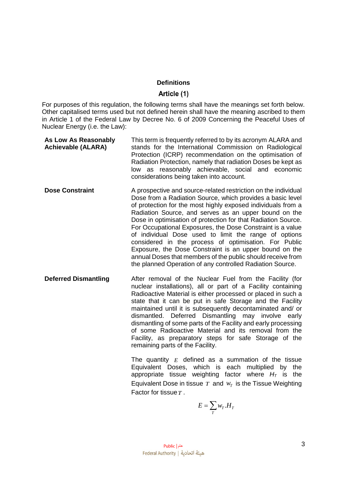#### **Definitions**

#### Article (1)

<span id="page-2-1"></span><span id="page-2-0"></span>For purposes of this regulation, the following terms shall have the meanings set forth below. Other capitalised terms used but not defined herein shall have the meaning ascribed to them in Article 1 of the Federal Law by Decree No. 6 of 2009 Concerning the Peaceful Uses of Nuclear Energy (i.e. the Law):

| As Low As Reasonably<br><b>Achievable (ALARA)</b> | This term is frequently referred to by its acronym ALARA and<br>stands for the International Commission on Radiological<br>Protection (ICRP) recommendation on the optimisation of<br>Radiation Protection, namely that radiation Doses be kept as<br>low as reasonably achievable, social and economic<br>considerations being taken into account.                                                                                                                                                                                                                                                                                                                                          |
|---------------------------------------------------|----------------------------------------------------------------------------------------------------------------------------------------------------------------------------------------------------------------------------------------------------------------------------------------------------------------------------------------------------------------------------------------------------------------------------------------------------------------------------------------------------------------------------------------------------------------------------------------------------------------------------------------------------------------------------------------------|
| <b>Dose Constraint</b>                            | A prospective and source-related restriction on the individual<br>Dose from a Radiation Source, which provides a basic level<br>of protection for the most highly exposed individuals from a<br>Radiation Source, and serves as an upper bound on the<br>Dose in optimisation of protection for that Radiation Source.<br>For Occupational Exposures, the Dose Constraint is a value<br>of individual Dose used to limit the range of options<br>considered in the process of optimisation. For Public<br>Exposure, the Dose Constraint is an upper bound on the<br>annual Doses that members of the public should receive from<br>the planned Operation of any controlled Radiation Source. |
| <b>Deferred Dismantling</b>                       | After removal of the Nuclear Fuel from the Facility (for<br>nuclear installations), all or part of a Facility containing<br>Radioactive Material is either processed or placed in such a<br>state that it can be put in safe Storage and the Facility<br>maintained until it is subsequently decontaminated and/ or<br>dismantled. Deferred Dismantling may involve early<br>dismantling of some parts of the Facility and early processing<br>of some Radioactive Material and its removal from the<br>Facility, as preparatory steps for safe Storage of the<br>remaining parts of the Facility.                                                                                           |

The quantity  $E$  defined as a summation of the tissue Equivalent Doses, which is each multiplied by the appropriate tissue weighting factor where *H<sup>T</sup>* is the Equivalent Dose in tissue  $T$  and  $W_T$  is the Tissue Weighting The quantity E defined as a summa<br>Equivalent Doses, which is each rappropriate tissue weighting factor is<br>Equivalent Dose in tissue T and  $w_T$  is the<br>Factor for tissue T . **Factor for tissue T.** 

$$
E = \sum_{T} w_{T} \cdot H_{T}
$$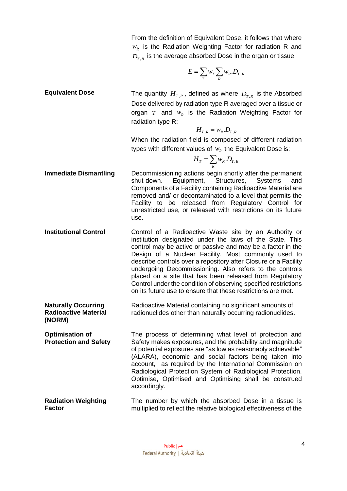$$
E = \sum_{T} w_T \sum_{R} w_R . D_{T,R}
$$

**Equivalent Dose** The quantity  $H_{T,R}$ , defined as where  $D_{T,R}$  is the Absorbed Dose delivered by radiation type R averaged over a tissue or organ  $T$  and  $w_R$  is the Radiation Weighting Factor for radiation type R:

$$
H_{T,R} = w_R.D_{T,R}
$$

When the radiation field is composed of different radiation types with different values of  $w_R$  the Equivalent Dose is:

$$
H_T = \sum_R w_R . D_{T,R}
$$

- **Immediate Dismantling** Decommissioning actions begin shortly after the permanent shut-down. Equipment, Structures, Systems and Components of a Facility containing Radioactive Material are removed and/ or decontaminated to a level that permits the Facility to be released from Regulatory Control for unrestricted use, or released with restrictions on its future use.
- **Institutional Control Control Control of a Radioactive Waste site by an Authority or** institution designated under the laws of the State. This control may be active or passive and may be a factor in the Design of a Nuclear Facility. Most commonly used to describe controls over a repository after Closure or a Facility undergoing Decommissioning. Also refers to the controls placed on a site that has been released from Regulatory Control under the condition of observing specified restrictions on its future use to ensure that these restrictions are met.
- **Naturally Occurring Radioactive Material (NORM)** Radioactive Material containing no significant amounts of radionuclides other than naturally occurring radionuclides.

**Optimisation of Protection and Safety**  The process of determining what level of protection and Safety makes exposures, and the probability and magnitude of potential exposures are "as low as reasonably achievable" (ALARA), economic and social factors being taken into account, as required by the International Commission on Radiological Protection System of Radiological Protection. Optimise, Optimised and Optimising shall be construed accordingly.

**Radiation Weighting Factor** The number by which the absorbed Dose in a tissue is multiplied to reflect the relative biological effectiveness of the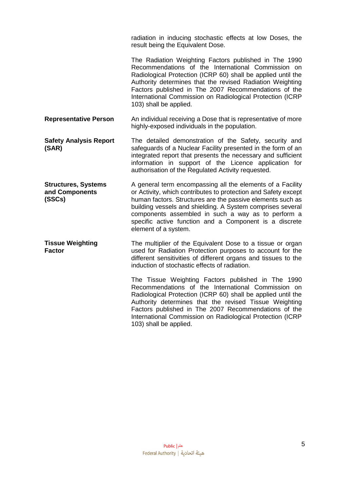radiation in inducing stochastic effects at low Doses, the result being the Equivalent Dose. The Radiation Weighting Factors published in The 1990 Recommendations of the International Commission on Radiological Protection (ICRP 60) shall be applied until the Authority determines that the revised Radiation Weighting Factors published in The 2007 Recommendations of the International Commission on Radiological Protection (ICRP 103) shall be applied. **Representative Person** An individual receiving a Dose that is representative of more highly-exposed individuals in the population. **Safety Analysis Report (SAR)** The detailed demonstration of the Safety, security and safeguards of a Nuclear Facility presented in the form of an integrated report that presents the necessary and sufficient information in support of the Licence application for authorisation of the Regulated Activity requested. **Structures, Systems and Components (SSCs)** A general term encompassing all the elements of a Facility or Activity, which contributes to protection and Safety except human factors. Structures are the passive elements such as building vessels and shielding. A System comprises several components assembled in such a way as to perform a specific active function and a Component is a discrete element of a system. **Tissue Weighting Factor** The multiplier of the Equivalent Dose to a tissue or organ used for Radiation Protection purposes to account for the different sensitivities of different organs and tissues to the induction of stochastic effects of radiation. The Tissue Weighting Factors published in The 1990 Recommendations of the International Commission on Radiological Protection (ICRP 60) shall be applied until the Authority determines that the revised Tissue Weighting Factors published in The 2007 Recommendations of the International Commission on Radiological Protection (ICRP

103) shall be applied.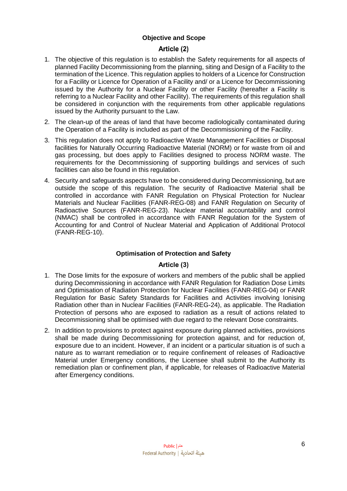## <span id="page-5-0"></span>**Objective and Scope**

#### Article (2)

- <span id="page-5-1"></span>1. The objective of this regulation is to establish the Safety requirements for all aspects of planned Facility Decommissioning from the planning, siting and Design of a Facility to the termination of the Licence. This regulation applies to holders of a Licence for Construction for a Facility or Licence for Operation of a Facility and/ or a Licence for Decommissioning issued by the Authority for a Nuclear Facility or other Facility (hereafter a Facility is referring to a Nuclear Facility and other Facility). The requirements of this regulation shall be considered in conjunction with the requirements from other applicable regulations issued by the Authority pursuant to the Law.
- 2. The clean-up of the areas of land that have become radiologically contaminated during the Operation of a Facility is included as part of the Decommissioning of the Facility.
- 3. This regulation does not apply to Radioactive Waste Management Facilities or Disposal facilities for Naturally Occurring Radioactive Material (NORM) or for waste from oil and gas processing, but does apply to Facilities designed to process NORM waste. The requirements for the Decommissioning of supporting buildings and services of such facilities can also be found in this regulation.
- 4. Security and safeguards aspects have to be considered during Decommissioning, but are outside the scope of this regulation. The security of Radioactive Material shall be controlled in accordance with FANR Regulation on Physical Protection for Nuclear Materials and Nuclear Facilities (FANR-REG-08) and FANR Regulation on Security of Radioactive Sources (FANR-REG-23). Nuclear material accountability and control (NMAC) shall be controlled in accordance with FANR Regulation for the System of Accounting for and Control of Nuclear Material and Application of Additional Protocol (FANR-REG-10).

#### **Optimisation of Protection and Safety**

#### Article (3)

- <span id="page-5-3"></span><span id="page-5-2"></span>1. The Dose limits for the exposure of workers and members of the public shall be applied during Decommissioning in accordance with FANR Regulation for Radiation Dose Limits and Optimisation of Radiation Protection for Nuclear Facilities (FANR-REG-04) or FANR Regulation for Basic Safety Standards for Facilities and Activities involving Ionising Radiation other than in Nuclear Facilities (FANR-REG-24), as applicable. The Radiation Protection of persons who are exposed to radiation as a result of actions related to Decommissioning shall be optimised with due regard to the relevant Dose constraints.
- 2. In addition to provisions to protect against exposure during planned activities, provisions shall be made during Decommissioning for protection against, and for reduction of, exposure due to an incident. However, if an incident or a particular situation is of such a nature as to warrant remediation or to require confinement of releases of Radioactive Material under Emergency conditions, the Licensee shall submit to the Authority its remediation plan or confinement plan, if applicable, for releases of Radioactive Material after Emergency conditions.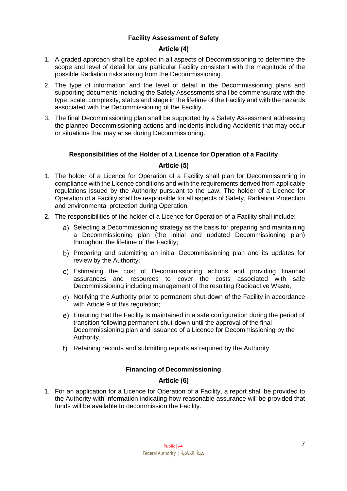# **Facility Assessment of Safety**

#### Article (4)

- <span id="page-6-1"></span><span id="page-6-0"></span>1. A graded approach shall be applied in all aspects of Decommissioning to determine the scope and level of detail for any particular Facility consistent with the magnitude of the possible Radiation risks arising from the Decommissioning.
- 2. The type of information and the level of detail in the Decommissioning plans and supporting documents including the Safety Assessments shall be commensurate with the type, scale, complexity, status and stage in the lifetime of the Facility and with the hazards associated with the Decommissioning of the Facility.
- <span id="page-6-2"></span>3. The final Decommissioning plan shall be supported by a Safety Assessment addressing the planned Decommissioning actions and incidents including Accidents that may occur or situations that may arise during Decommissioning.

#### **Responsibilities of the Holder of a Licence for Operation of a Facility**

# Article (5)

- <span id="page-6-3"></span>1. The holder of a Licence for Operation of a Facility shall plan for Decommissioning in compliance with the Licence conditions and with the requirements derived from applicable regulations issued by the Authority pursuant to the Law. The holder of a Licence for Operation of a Facility shall be responsible for all aspects of Safety, Radiation Protection and environmental protection during Operation.
- 2. The responsibilities of the holder of a Licence for Operation of a Facility shall include:
	- a) Selecting a Decommissioning strategy as the basis for preparing and maintaining a Decommissioning plan (the initial and updated Decommissioning plan) throughout the lifetime of the Facility;
	- b) Preparing and submitting an initial Decommissioning plan and its updates for review by the Authority;
	- Estimating the cost of Decommissioning actions and providing financial assurances and resources to cover the costs associated with safe Decommissioning including management of the resulting Radioactive Waste;
	- Notifying the Authority prior to permanent shut-down of the Facility in accordance with Article 9 of this regulation;
	- Ensuring that the Facility is maintained in a safe configuration during the period of transition following permanent shut-down until the approval of the final Decommissioning plan and issuance of a Licence for Decommissioning by the Authority.
	- f) Retaining records and submitting reports as required by the Authority.

# **Financing of Decommissioning**

# Article (6)

<span id="page-6-5"></span><span id="page-6-4"></span>1. For an application for a Licence for Operation of a Facility, a report shall be provided to the Authority with information indicating how reasonable assurance will be provided that funds will be available to decommission the Facility.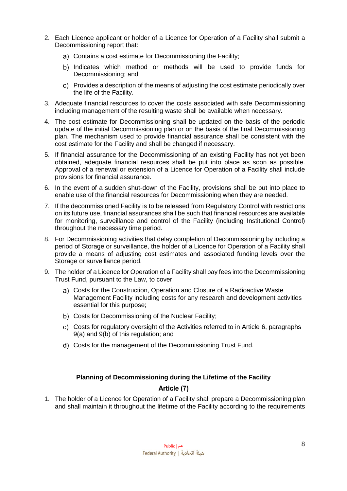- 2. Each Licence applicant or holder of a Licence for Operation of a Facility shall submit a Decommissioning report that:
	- Contains a cost estimate for Decommissioning the Facility;
	- b) Indicates which method or methods will be used to provide funds for Decommissioning; and
	- Provides a description of the means of adjusting the cost estimate periodically over the life of the Facility.
- 3. Adequate financial resources to cover the costs associated with safe Decommissioning including management of the resulting waste shall be available when necessary.
- 4. The cost estimate for Decommissioning shall be updated on the basis of the periodic update of the initial Decommissioning plan or on the basis of the final Decommissioning plan. The mechanism used to provide financial assurance shall be consistent with the cost estimate for the Facility and shall be changed if necessary.
- 5. If financial assurance for the Decommissioning of an existing Facility has not yet been obtained, adequate financial resources shall be put into place as soon as possible. Approval of a renewal or extension of a Licence for Operation of a Facility shall include provisions for financial assurance.
- 6. In the event of a sudden shut-down of the Facility, provisions shall be put into place to enable use of the financial resources for Decommissioning when they are needed.
- 7. If the decommissioned Facility is to be released from Regulatory Control with restrictions on its future use, financial assurances shall be such that financial resources are available for monitoring, surveillance and control of the Facility (including Institutional Control) throughout the necessary time period.
- 8. For Decommissioning activities that delay completion of Decommissioning by including a period of Storage or surveillance, the holder of a Licence for Operation of a Facility shall provide a means of adjusting cost estimates and associated funding levels over the Storage or surveillance period.
- 9. The holder of a Licence for Operation of a Facility shall pay fees into the Decommissioning Trust Fund, pursuant to the Law, to cover:
	- Costs for the Construction, Operation and Closure of a Radioactive Waste Management Facility including costs for any research and development activities essential for this purpose;
	- b) Costs for Decommissioning of the Nuclear Facility;
	- Costs for regulatory oversight of the Activities referred to in Article 6, paragraphs 9(a) and 9(b) of this regulation; and
	- Costs for the management of the Decommissioning Trust Fund.

# **Planning of Decommissioning during the Lifetime of the Facility**

# Article (7)

<span id="page-7-1"></span><span id="page-7-0"></span>1. The holder of a Licence for Operation of a Facility shall prepare a Decommissioning plan and shall maintain it throughout the lifetime of the Facility according to the requirements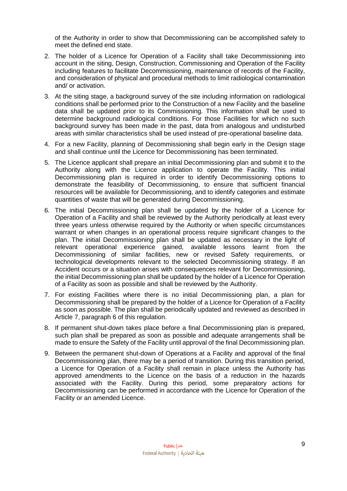of the Authority in order to show that Decommissioning can be accomplished safely to meet the defined end state.

- 2. The holder of a Licence for Operation of a Facility shall take Decommissioning into account in the siting, Design, Construction, Commissioning and Operation of the Facility including features to facilitate Decommissioning, maintenance of records of the Facility, and consideration of physical and procedural methods to limit radiological contamination and/ or activation.
- 3. At the siting stage, a background survey of the site including information on radiological conditions shall be performed prior to the Construction of a new Facility and the baseline data shall be updated prior to its Commissioning. This information shall be used to determine background radiological conditions. For those Facilities for which no such background survey has been made in the past, data from analogous and undisturbed areas with similar characteristics shall be used instead of pre-operational baseline data.
- 4. For a new Facility, planning of Decommissioning shall begin early in the Design stage and shall continue until the Licence for Decommissioning has been terminated.
- 5. The Licence applicant shall prepare an initial Decommissioning plan and submit it to the Authority along with the Licence application to operate the Facility. This initial Decommissioning plan is required in order to identify Decommissioning options to demonstrate the feasibility of Decommissioning, to ensure that sufficient financial resources will be available for Decommissioning, and to identify categories and estimate quantities of waste that will be generated during Decommissioning.
- 6. The initial Decommissioning plan shall be updated by the holder of a Licence for Operation of a Facility and shall be reviewed by the Authority periodically at least every three years unless otherwise required by the Authority or when specific circumstances warrant or when changes in an operational process require significant changes to the plan. The initial Decommissioning plan shall be updated as necessary in the light of relevant operational experience gained, available lessons learnt from the Decommissioning of similar facilities, new or revised Safety requirements, or technological developments relevant to the selected Decommissioning strategy. If an Accident occurs or a situation arises with consequences relevant for Decommissioning, the initial Decommissioning plan shall be updated by the holder of a Licence for Operation of a Facility as soon as possible and shall be reviewed by the Authority.
- 7. For existing Facilities where there is no initial Decommissioning plan, a plan for Decommissioning shall be prepared by the holder of a Licence for Operation of a Facility as soon as possible. The plan shall be periodically updated and reviewed as described in Article 7, paragraph 6 of this regulation.
- 8. If permanent shut-down takes place before a final Decommissioning plan is prepared, such plan shall be prepared as soon as possible and adequate arrangements shall be made to ensure the Safety of the Facility until approval of the final Decommissioning plan.
- 9. Between the permanent shut-down of Operations at a Facility and approval of the final Decommissioning plan, there may be a period of transition. During this transition period, a Licence for Operation of a Facility shall remain in place unless the Authority has approved amendments to the Licence on the basis of a reduction in the hazards associated with the Facility. During this period, some preparatory actions for Decommissioning can be performed in accordance with the Licence for Operation of the Facility or an amended Licence.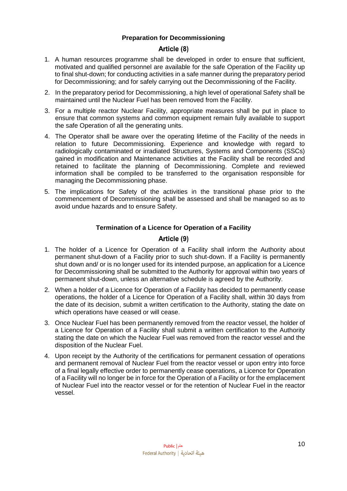## **Preparation for Decommissioning**

#### Article (8)

- <span id="page-9-1"></span><span id="page-9-0"></span>1. A human resources programme shall be developed in order to ensure that sufficient, motivated and qualified personnel are available for the safe Operation of the Facility up to final shut-down; for conducting activities in a safe manner during the preparatory period for Decommissioning; and for safely carrying out the Decommissioning of the Facility.
- 2. In the preparatory period for Decommissioning, a high level of operational Safety shall be maintained until the Nuclear Fuel has been removed from the Facility.
- 3. For a multiple reactor Nuclear Facility, appropriate measures shall be put in place to ensure that common systems and common equipment remain fully available to support the safe Operation of all the generating units.
- 4. The Operator shall be aware over the operating lifetime of the Facility of the needs in relation to future Decommissioning. Experience and knowledge with regard to radiologically contaminated or irradiated Structures, Systems and Components (SSCs) gained in modification and Maintenance activities at the Facility shall be recorded and retained to facilitate the planning of Decommissioning. Complete and reviewed information shall be compiled to be transferred to the organisation responsible for managing the Decommissioning phase.
- <span id="page-9-2"></span>5. The implications for Safety of the activities in the transitional phase prior to the commencement of Decommissioning shall be assessed and shall be managed so as to avoid undue hazards and to ensure Safety.

#### **Termination of a Licence for Operation of a Facility**

# Article (9)

- <span id="page-9-3"></span>1. The holder of a Licence for Operation of a Facility shall inform the Authority about permanent shut-down of a Facility prior to such shut-down. If a Facility is permanently shut down and/ or is no longer used for its intended purpose, an application for a Licence for Decommissioning shall be submitted to the Authority for approval within two years of permanent shut-down, unless an alternative schedule is agreed by the Authority.
- 2. When a holder of a Licence for Operation of a Facility has decided to permanently cease operations, the holder of a Licence for Operation of a Facility shall, within 30 days from the date of its decision, submit a written certification to the Authority, stating the date on which operations have ceased or will cease.
- 3. Once Nuclear Fuel has been permanently removed from the reactor vessel, the holder of a Licence for Operation of a Facility shall submit a written certification to the Authority stating the date on which the Nuclear Fuel was removed from the reactor vessel and the disposition of the Nuclear Fuel.
- 4. Upon receipt by the Authority of the certifications for permanent cessation of operations and permanent removal of Nuclear Fuel from the reactor vessel or upon entry into force of a final legally effective order to permanently cease operations, a Licence for Operation of a Facility will no longer be in force for the Operation of a Facility or for the emplacement of Nuclear Fuel into the reactor vessel or for the retention of Nuclear Fuel in the reactor vessel.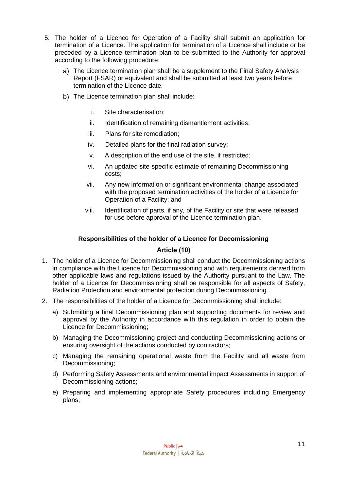- 5. The holder of a Licence for Operation of a Facility shall submit an application for termination of a Licence. The application for termination of a Licence shall include or be preceded by a Licence termination plan to be submitted to the Authority for approval according to the following procedure:
	- The Licence termination plan shall be a supplement to the Final Safety Analysis Report (FSAR) or equivalent and shall be submitted at least two years before termination of the Licence date.
	- b) The Licence termination plan shall include:
		- i. Site characterisation;
		- ii. Identification of remaining dismantlement activities;
		- iii. Plans for site remediation;
		- iv. Detailed plans for the final radiation survey;
		- v. A description of the end use of the site, if restricted;
		- vi. An updated site-specific estimate of remaining Decommissioning costs;
		- vii. Any new information or significant environmental change associated with the proposed termination activities of the holder of a Licence for Operation of a Facility; and
		- viii. Identification of parts, if any, of the Facility or site that were released for use before approval of the Licence termination plan.

#### **Responsibilities of the holder of a Licence for Decomissioning**

# Article (10)

- <span id="page-10-1"></span><span id="page-10-0"></span>1. The holder of a Licence for Decommissioning shall conduct the Decommissioning actions in compliance with the Licence for Decommissioning and with requirements derived from other applicable laws and regulations issued by the Authority pursuant to the Law. The holder of a Licence for Decommissioning shall be responsible for all aspects of Safety, Radiation Protection and environmental protection during Decommissioning.
- 2. The responsibilities of the holder of a Licence for Decommissioning shall include:
	- a) Submitting a final Decommissioning plan and supporting documents for review and approval by the Authority in accordance with this regulation in order to obtain the Licence for Decommissioning;
	- b) Managing the Decommissioning project and conducting Decommissioning actions or ensuring oversight of the actions conducted by contractors;
	- c) Managing the remaining operational waste from the Facility and all waste from Decommissioning;
	- d) Performing Safety Assessments and environmental impact Assessments in support of Decommissioning actions;
	- e) Preparing and implementing appropriate Safety procedures including Emergency plans;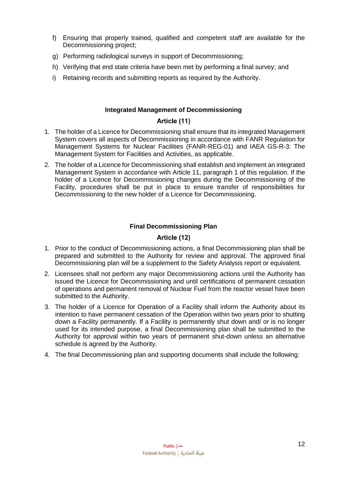- f) Ensuring that properly trained, qualified and competent staff are available for the Decommissioning project;
- g) Performing radiological surveys in support of Decommissioning;
- h) Verifying that end state criteria have been met by performing a final survey; and
- <span id="page-11-0"></span>i) Retaining records and submitting reports as required by the Authority.

# **Integrated Management of Decommissioning**

# Article (11)

- <span id="page-11-1"></span>1. The holder of a Licence for Decommissioning shall ensure that its integrated Management System covers all aspects of Decommissioning in accordance with FANR Regulation for Management Systems for Nuclear Facilities (FANR-REG-01) and IAEA GS-R-3: The Management System for Facilities and Activities, as applicable.
- 2. The holder of a Licence for Decommissioning shall establish and implement an integrated Management System in accordance with Article 11, paragraph 1 of this regulation. If the holder of a Licence for Decommissioning changes during the Decommissioning of the Facility, procedures shall be put in place to ensure transfer of responsibilities for Decommissioning to the new holder of a Licence for Decommissioning.

# **Final Decommissioning Plan**

# Article (12)

- <span id="page-11-3"></span><span id="page-11-2"></span>1. Prior to the conduct of Decommissioning actions, a final Decommissioning plan shall be prepared and submitted to the Authority for review and approval. The approved final Decommissioning plan will be a supplement to the Safety Analysis report or equivalent.
- 2. Licensees shall not perform any major Decommissioning actions until the Authority has issued the Licence for Decommissioning and until certifications of permanent cessation of operations and permanent removal of Nuclear Fuel from the reactor vessel have been submitted to the Authority.
- 3. The holder of a Licence for Operation of a Facility shall inform the Authority about its intention to have permanent cessation of the Operation within two years prior to shutting down a Facility permanently. If a Facility is permanently shut down and/ or is no longer used for its intended purpose, a final Decommissioning plan shall be submitted to the Authority for approval within two years of permanent shut-down unless an alternative schedule is agreed by the Authority.
- 4. The final Decommissioning plan and supporting documents shall include the following: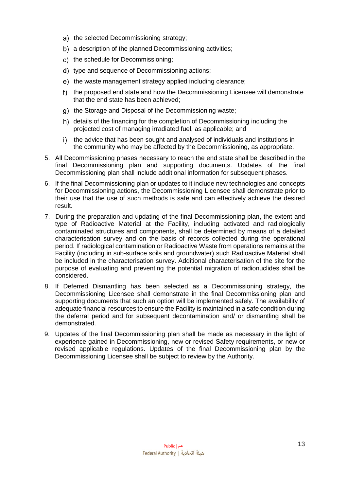- a) the selected Decommissioning strategy;
- b) a description of the planned Decommissioning activities;
- c) the schedule for Decommissioning;
- d) type and sequence of Decommissioning actions;
- e) the waste management strategy applied including clearance;
- f) the proposed end state and how the Decommissioning Licensee will demonstrate that the end state has been achieved;
- g) the Storage and Disposal of the Decommissioning waste;
- h) details of the financing for the completion of Decommissioning including the projected cost of managing irradiated fuel, as applicable; and
- i) the advice that has been sought and analysed of individuals and institutions in the community who may be affected by the Decommissioning, as appropriate.
- 5. All Decommissioning phases necessary to reach the end state shall be described in the final Decommissioning plan and supporting documents. Updates of the final Decommissioning plan shall include additional information for subsequent phases.
- 6. If the final Decommissioning plan or updates to it include new technologies and concepts for Decommissioning actions, the Decommissioning Licensee shall demonstrate prior to their use that the use of such methods is safe and can effectively achieve the desired result.
- 7. During the preparation and updating of the final Decommissioning plan, the extent and type of Radioactive Material at the Facility, including activated and radiologically contaminated structures and components, shall be determined by means of a detailed characterisation survey and on the basis of records collected during the operational period. If radiological contamination or Radioactive Waste from operations remains at the Facility (including in sub-surface soils and groundwater) such Radioactive Material shall be included in the characterisation survey. Additional characterisation of the site for the purpose of evaluating and preventing the potential migration of radionuclides shall be considered.
- 8. If Deferred Dismantling has been selected as a Decommissioning strategy, the Decommissioning Licensee shall demonstrate in the final Decommissioning plan and supporting documents that such an option will be implemented safely. The availability of adequate financial resources to ensure the Facility is maintained in a safe condition during the deferral period and for subsequent decontamination and/ or dismantling shall be demonstrated.
- 9. Updates of the final Decommissioning plan shall be made as necessary in the light of experience gained in Decommissioning, new or revised Safety requirements, or new or revised applicable regulations. Updates of the final Decommissioning plan by the Decommissioning Licensee shall be subject to review by the Authority.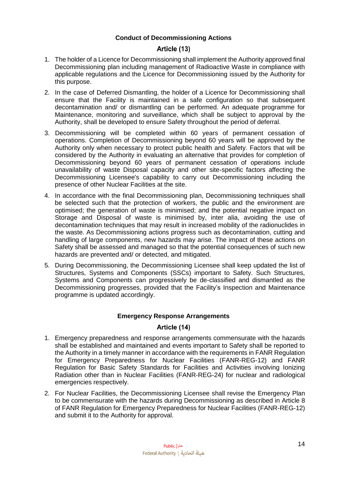## **Conduct of Decommissioning Actions**

#### Article (13)

- <span id="page-13-1"></span><span id="page-13-0"></span>1. The holder of a Licence for Decommissioning shall implement the Authority approved final Decommissioning plan including management of Radioactive Waste in compliance with applicable regulations and the Licence for Decommissioning issued by the Authority for this purpose.
- 2. In the case of Deferred Dismantling, the holder of a Licence for Decommissioning shall ensure that the Facility is maintained in a safe configuration so that subsequent decontamination and/ or dismantling can be performed. An adequate programme for Maintenance, monitoring and surveillance, which shall be subject to approval by the Authority, shall be developed to ensure Safety throughout the period of deferral.
- 3. Decommissioning will be completed within 60 years of permanent cessation of operations. Completion of Decommissioning beyond 60 years will be approved by the Authority only when necessary to protect public health and Safety. Factors that will be considered by the Authority in evaluating an alternative that provides for completion of Decommissioning beyond 60 years of permanent cessation of operations include unavailability of waste Disposal capacity and other site-specific factors affecting the Decommissioning Licensee's capability to carry out Decommissioning including the presence of other Nuclear Facilities at the site.
- 4. In accordance with the final Decommissioning plan, Decommissioning techniques shall be selected such that the protection of workers, the public and the environment are optimised; the generation of waste is minimised; and the potential negative impact on Storage and Disposal of waste is minimised by, inter alia, avoiding the use of decontamination techniques that may result in increased mobility of the radionuclides in the waste. As Decommissioning actions progress such as decontamination, cutting and handling of large components, new hazards may arise. The impact of these actions on Safety shall be assessed and managed so that the potential consequences of such new hazards are prevented and/ or detected, and mitigated.
- 5. During Decommissioning, the Decommissioning Licensee shall keep updated the list of Structures, Systems and Components (SSCs) important to Safety. Such Structures, Systems and Components can progressively be de-classified and dismantled as the Decommissioning progresses, provided that the Facility's Inspection and Maintenance programme is updated accordingly.

# **Emergency Response Arrangements**

# Article (14)

- <span id="page-13-3"></span><span id="page-13-2"></span>1. Emergency preparedness and response arrangements commensurate with the hazards shall be established and maintained and events important to Safety shall be reported to the Authority in a timely manner in accordance with the requirements in FANR Regulation for Emergency Preparedness for Nuclear Facilities (FANR-REG-12) and FANR Regulation for Basic Safety Standards for Facilities and Activities involving Ionizing Radiation other than in Nuclear Facilities (FANR-REG-24) for nuclear and radiological emergencies respectively.
- 2. For Nuclear Facilities, the Decommissioning Licensee shall revise the Emergency Plan to be commensurate with the hazards during Decommissioning as described in Article 8 of FANR Regulation for Emergency Preparedness for Nuclear Facilities (FANR-REG-12) and submit it to the Authority for approval.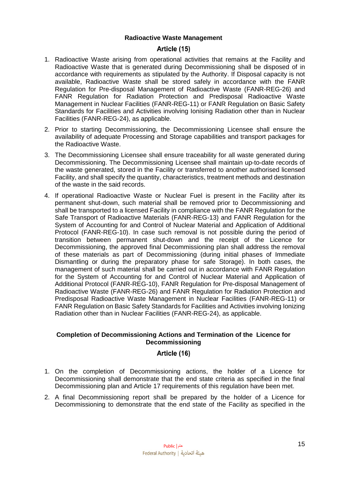#### **Radioactive Waste Management**

# Article (15)

- <span id="page-14-1"></span><span id="page-14-0"></span>1. Radioactive Waste arising from operational activities that remains at the Facility and Radioactive Waste that is generated during Decommissioning shall be disposed of in accordance with requirements as stipulated by the Authority. If Disposal capacity is not available, Radioactive Waste shall be stored safely in accordance with the FANR Regulation for Pre-disposal Management of Radioactive Waste (FANR-REG-26) and FANR Regulation for Radiation Protection and Predisposal Radioactive Waste Management in Nuclear Facilities (FANR-REG-11) or FANR Regulation on Basic Safety Standards for Facilities and Activities involving Ionising Radiation other than in Nuclear Facilities (FANR-REG-24), as applicable.
- 2. Prior to starting Decommissioning, the Decommissioning Licensee shall ensure the availability of adequate Processing and Storage capabilities and transport packages for the Radioactive Waste.
- 3. The Decommissioning Licensee shall ensure traceability for all waste generated during Decommissioning. The Decommissioning Licensee shall maintain up-to-date records of the waste generated, stored in the Facility or transferred to another authorised licensed Facility, and shall specify the quantity, characteristics, treatment methods and destination of the waste in the said records.
- 4. If operational Radioactive Waste or Nuclear Fuel is present in the Facility after its permanent shut-down, such material shall be removed prior to Decommissioning and shall be transported to a licensed Facility in compliance with the FANR Regulation for the Safe Transport of Radioactive Materials (FANR-REG-13) and FANR Regulation for the System of Accounting for and Control of Nuclear Material and Application of Additional Protocol (FANR-REG-10). In case such removal is not possible during the period of transition between permanent shut-down and the receipt of the Licence for Decommissioning, the approved final Decommissioning plan shall address the removal of these materials as part of Decommissioning (during initial phases of Immediate Dismantling or during the preparatory phase for safe Storage). In both cases, the management of such material shall be carried out in accordance with FANR Regulation for the System of Accounting for and Control of Nuclear Material and Application of Additional Protocol (FANR-REG-10), FANR Regulation for Pre-disposal Management of Radioactive Waste (FANR-REG-26) and FANR Regulation for Radiation Protection and Predisposal Radioactive Waste Management in Nuclear Facilities (FANR-REG-11) or FANR Regulation on Basic Safety Standards for Facilities and Activities involving Ionizing Radiation other than in Nuclear Facilities (FANR-REG-24), as applicable.

#### <span id="page-14-2"></span>**Completion of Decommissioning Actions and Termination of the Licence for Decommissioning**

# Article (16)

- <span id="page-14-3"></span>1. On the completion of Decommissioning actions, the holder of a Licence for Decommissioning shall demonstrate that the end state criteria as specified in the final Decommissioning plan and Article 17 requirements of this regulation have been met.
- 2. A final Decommissioning report shall be prepared by the holder of a Licence for Decommissioning to demonstrate that the end state of the Facility as specified in the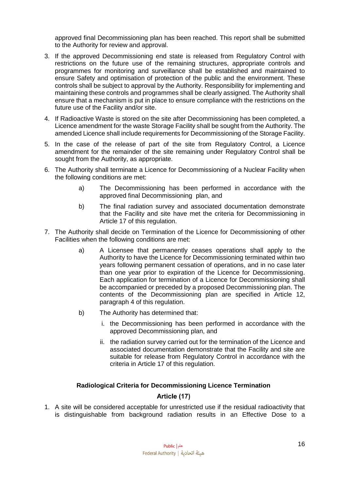approved final Decommissioning plan has been reached. This report shall be submitted to the Authority for review and approval.

- 3. If the approved Decommissioning end state is released from Regulatory Control with restrictions on the future use of the remaining structures, appropriate controls and programmes for monitoring and surveillance shall be established and maintained to ensure Safety and optimisation of protection of the public and the environment. These controls shall be subject to approval by the Authority. Responsibility for implementing and maintaining these controls and programmes shall be clearly assigned. The Authority shall ensure that a mechanism is put in place to ensure compliance with the restrictions on the future use of the Facility and/or site.
- 4. If Radioactive Waste is stored on the site after Decommissioning has been completed, a Licence amendment for the waste Storage Facility shall be sought from the Authority. The amended Licence shall include requirements for Decommissioning of the Storage Facility.
- 5. In the case of the release of part of the site from Regulatory Control, a Licence amendment for the remainder of the site remaining under Regulatory Control shall be sought from the Authority, as appropriate.
- 6. The Authority shall terminate a Licence for Decommissioning of a Nuclear Facility when the following conditions are met:
	- a) The Decommissioning has been performed in accordance with the approved final Decommissioning plan, and
	- b) The final radiation survey and associated documentation demonstrate that the Facility and site have met the criteria for Decommissioning in Article 17 of this regulation.
- 7. The Authority shall decide on Termination of the Licence for Decommissioning of other Facilities when the following conditions are met:
	- a) A Licensee that permanently ceases operations shall apply to the Authority to have the Licence for Decommissioning terminated within two years following permanent cessation of operations, and in no case later than one year prior to expiration of the Licence for Decommissioning. Each application for termination of a Licence for Decommissioning shall be accompanied or preceded by a proposed Decommissioning plan. The contents of the Decommissioning plan are specified in Article 12, paragraph 4 of this regulation.
	- b) The Authority has determined that:
		- i. the Decommissioning has been performed in accordance with the approved Decommissioning plan, and
		- ii. the radiation survey carried out for the termination of the Licence and associated documentation demonstrate that the Facility and site are suitable for release from Regulatory Control in accordance with the criteria in Article 17 of this regulation.

# **Radiological Criteria for Decommissioning Licence Termination**

# Article (17)

<span id="page-15-1"></span><span id="page-15-0"></span>1. A site will be considered acceptable for unrestricted use if the residual radioactivity that is distinguishable from background radiation results in an Effective Dose to a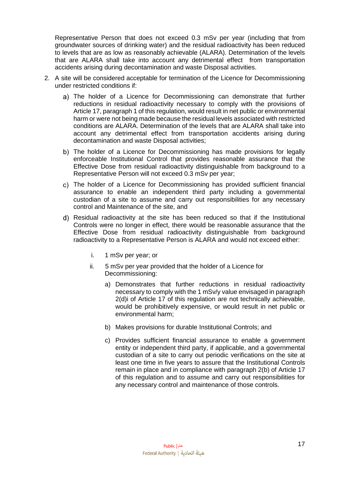Representative Person that does not exceed 0.3 mSv per year (including that from groundwater sources of drinking water) and the residual radioactivity has been reduced to levels that are as low as reasonably achievable (ALARA). Determination of the levels that are ALARA shall take into account any detrimental effect from transportation accidents arising during decontamination and waste Disposal activities.

- 2. A site will be considered acceptable for termination of the Licence for Decommissioning under restricted conditions if:
	- a) The holder of a Licence for Decommissioning can demonstrate that further reductions in residual radioactivity necessary to comply with the provisions of Article 17, paragraph 1 of this regulation, would result in net public or environmental harm or were not being made because the residual levels associated with restricted conditions are ALARA. Determination of the levels that are ALARA shall take into account any detrimental effect from transportation accidents arising during decontamination and waste Disposal activities;
	- b) The holder of a Licence for Decommissioning has made provisions for legally enforceable Institutional Control that provides reasonable assurance that the Effective Dose from residual radioactivity distinguishable from background to a Representative Person will not exceed 0.3 mSv per year;
	- The holder of a Licence for Decommissioning has provided sufficient financial assurance to enable an independent third party including a governmental custodian of a site to assume and carry out responsibilities for any necessary control and Maintenance of the site, and
	- Residual radioactivity at the site has been reduced so that if the Institutional Controls were no longer in effect, there would be reasonable assurance that the Effective Dose from residual radioactivity distinguishable from background radioactivity to a Representative Person is ALARA and would not exceed either:
		- i. 1 mSv per year; or
		- ii. 5 mSv per year provided that the holder of a Licence for Decommissioning:
			- a) Demonstrates that further reductions in residual radioactivity necessary to comply with the 1 mSv/y value envisaged in paragraph 2(d)i of Article 17 of this regulation are not technically achievable, would be prohibitively expensive, or would result in net public or environmental harm;
			- b) Makes provisions for durable Institutional Controls; and
			- c) Provides sufficient financial assurance to enable a government entity or independent third party, if applicable, and a governmental custodian of a site to carry out periodic verifications on the site at least one time in five years to assure that the Institutional Controls remain in place and in compliance with paragraph 2(b) of Article 17 of this regulation and to assume and carry out responsibilities for any necessary control and maintenance of those controls.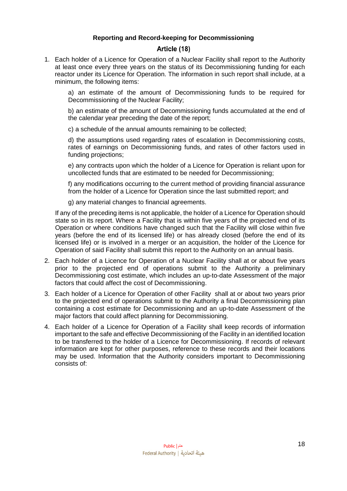# **Reporting and Record-keeping for Decommissioning**

# Article (18)

<span id="page-17-1"></span><span id="page-17-0"></span>1. Each holder of a Licence for Operation of a Nuclear Facility shall report to the Authority at least once every three years on the status of its Decommissioning funding for each reactor under its Licence for Operation. The information in such report shall include, at a minimum, the following items:

a) an estimate of the amount of Decommissioning funds to be required for Decommissioning of the Nuclear Facility;

b) an estimate of the amount of Decommissioning funds accumulated at the end of the calendar year preceding the date of the report;

c) a schedule of the annual amounts remaining to be collected;

d) the assumptions used regarding rates of escalation in Decommissioning costs, rates of earnings on Decommissioning funds, and rates of other factors used in funding projections;

e) any contracts upon which the holder of a Licence for Operation is reliant upon for uncollected funds that are estimated to be needed for Decommissioning;

f) any modifications occurring to the current method of providing financial assurance from the holder of a Licence for Operation since the last submitted report; and

g) any material changes to financial agreements.

If any of the preceding items is not applicable, the holder of a Licence for Operation should state so in its report. Where a Facility that is within five years of the projected end of its Operation or where conditions have changed such that the Facility will close within five years (before the end of its licensed life) or has already closed (before the end of its licensed life) or is involved in a merger or an acquisition, the holder of the Licence for Operation of said Facility shall submit this report to the Authority on an annual basis.

- 2. Each holder of a Licence for Operation of a Nuclear Facility shall at or about five years prior to the projected end of operations submit to the Authority a preliminary Decommissioning cost estimate, which includes an up-to-date Assessment of the major factors that could affect the cost of Decommissioning.
- 3. Each holder of a Licence for Operation of other Facility shall at or about two years prior to the projected end of operations submit to the Authority a final Decommissioning plan containing a cost estimate for Decommissioning and an up-to-date Assessment of the major factors that could affect planning for Decommissioning.
- 4. Each holder of a Licence for Operation of a Facility shall keep records of information important to the safe and effective Decommissioning of the Facility in an identified location to be transferred to the holder of a Licence for Decommissioning. If records of relevant information are kept for other purposes, reference to these records and their locations may be used. Information that the Authority considers important to Decommissioning consists of: